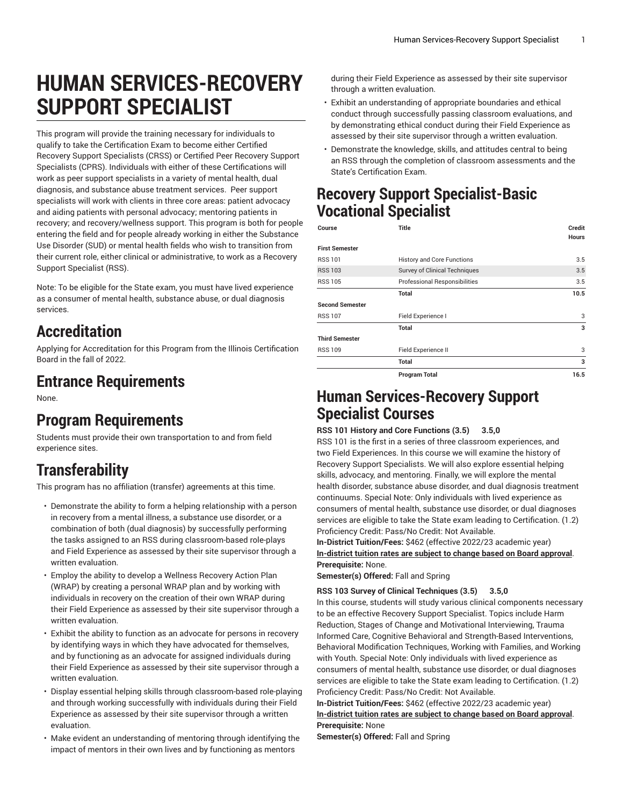# **HUMAN SERVICES-RECOVERY SUPPORT SPECIALIST**

This program will provide the training necessary for individuals to qualify to take the Certification Exam to become either Certified Recovery Support Specialists (CRSS) or Certified Peer Recovery Support Specialists (CPRS). Individuals with either of these Certifications will work as peer support specialists in a variety of mental health, dual diagnosis, and substance abuse treatment services. Peer support specialists will work with clients in three core areas: patient advocacy and aiding patients with personal advocacy; mentoring patients in recovery; and recovery/wellness support. This program is both for people entering the field and for people already working in either the Substance Use Disorder (SUD) or mental health fields who wish to transition from their current role, either clinical or administrative, to work as a Recovery Support Specialist (RSS).

Note: To be eligible for the State exam, you must have lived experience as a consumer of mental health, substance abuse, or dual diagnosis services.

## **Accreditation**

Applying for Accreditation for this Program from the Illinois Certification Board in the fall of 2022.

### **Entrance Requirements**

None.

## **Program Requirements**

Students must provide their own transportation to and from field experience sites.

# **Transferability**

This program has no affiliation (transfer) agreements at this time.

- Demonstrate the ability to form a helping relationship with a person in recovery from a mental illness, a substance use disorder, or a combination of both (dual diagnosis) by successfully performing the tasks assigned to an RSS during classroom-based role-plays and Field Experience as assessed by their site supervisor through a written evaluation.
- Employ the ability to develop a Wellness Recovery Action Plan (WRAP) by creating a personal WRAP plan and by working with individuals in recovery on the creation of their own WRAP during their Field Experience as assessed by their site supervisor through a written evaluation.
- Exhibit the ability to function as an advocate for persons in recovery by identifying ways in which they have advocated for themselves, and by functioning as an advocate for assigned individuals during their Field Experience as assessed by their site supervisor through a written evaluation.
- Display essential helping skills through classroom-based role-playing and through working successfully with individuals during their Field Experience as assessed by their site supervisor through a written evaluation.
- Make evident an understanding of mentoring through identifying the impact of mentors in their own lives and by functioning as mentors

during their Field Experience as assessed by their site supervisor through a written evaluation.

- Exhibit an understanding of appropriate boundaries and ethical conduct through successfully passing classroom evaluations, and by demonstrating ethical conduct during their Field Experience as assessed by their site supervisor through a written evaluation.
- Demonstrate the knowledge, skills, and attitudes central to being an RSS through the completion of classroom assessments and the State's Certification Exam.

### **Recovery Support Specialist-Basic Vocational Specialist**

| Course                 | <b>Title</b>                         | Credit       |
|------------------------|--------------------------------------|--------------|
| <b>First Semester</b>  |                                      | <b>Hours</b> |
| <b>RSS 101</b>         | <b>History and Core Functions</b>    | 3.5          |
| <b>RSS 103</b>         | <b>Survey of Clinical Techniques</b> | 3.5          |
| <b>RSS 105</b>         | Professional Responsibilities        | 3.5          |
|                        | <b>Total</b>                         | 10.5         |
| <b>Second Semester</b> |                                      |              |
| <b>RSS 107</b>         | Field Experience I                   | 3            |
|                        | <b>Total</b>                         | 3            |
| <b>Third Semester</b>  |                                      |              |
| <b>RSS 109</b>         | Field Experience II                  | 3            |
|                        | Total                                | 3            |
|                        | <b>Program Total</b>                 | 16.5         |

### **Human Services-Recovery Support Specialist Courses**

#### **RSS 101 History and Core Functions (3.5) 3.5,0**

RSS 101 is the first in a series of three classroom experiences, and two Field Experiences. In this course we will examine the history of Recovery Support Specialists. We will also explore essential helping skills, advocacy, and mentoring. Finally, we will explore the mental health disorder, substance abuse disorder, and dual diagnosis treatment continuums. Special Note: Only individuals with lived experience as consumers of mental health, substance use disorder, or dual diagnoses services are eligible to take the State exam leading to Certification. (1.2) Proficiency Credit: Pass/No Credit: Not Available.

**In-District Tuition/Fees:** \$462 (effective 2022/23 academic year) **[In-district](https://elgin.edu/pay-for-college/tuition-fees/) tuition rates are subject to change based on Board approval**. **Prerequisite:** None.

**Semester(s) Offered:** Fall and Spring

#### **RSS 103 Survey of Clinical Techniques (3.5) 3.5,0**

In this course, students will study various clinical components necessary to be an effective Recovery Support Specialist. Topics include Harm Reduction, Stages of Change and Motivational Interviewing, Trauma Informed Care, Cognitive Behavioral and Strength-Based Interventions, Behavioral Modification Techniques, Working with Families, and Working with Youth. Special Note: Only individuals with lived experience as consumers of mental health, substance use disorder, or dual diagnoses services are eligible to take the State exam leading to Certification. (1.2) Proficiency Credit: Pass/No Credit: Not Available.

**In-District Tuition/Fees:** \$462 (effective 2022/23 academic year) **[In-district](https://elgin.edu/pay-for-college/tuition-fees/) tuition rates are subject to change based on Board approval**. **Prerequisite:** None

**Semester(s) Offered:** Fall and Spring